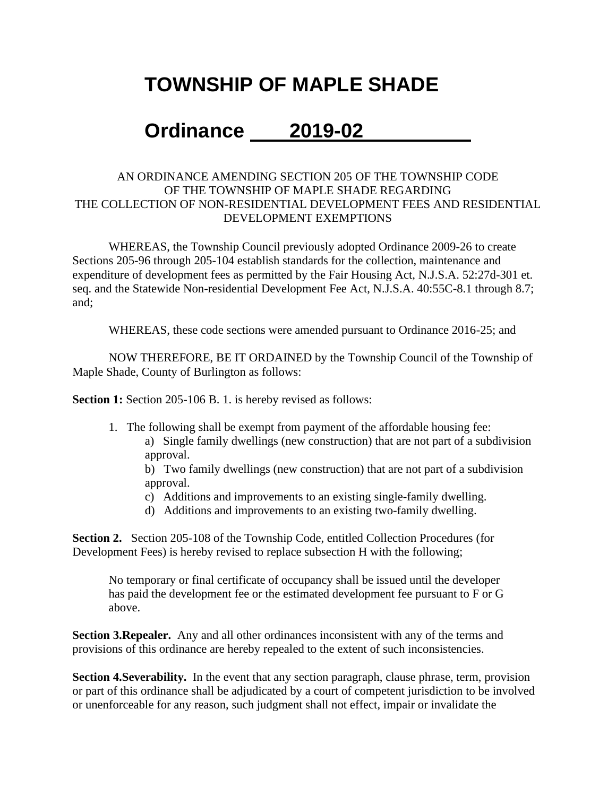# **TOWNSHIP OF MAPLE SHADE**

# **Ordinance 2019-02**

### AN ORDINANCE AMENDING SECTION 205 OF THE TOWNSHIP CODE OF THE TOWNSHIP OF MAPLE SHADE REGARDING THE COLLECTION OF NON-RESIDENTIAL DEVELOPMENT FEES AND RESIDENTIAL DEVELOPMENT EXEMPTIONS

WHEREAS, the Township Council previously adopted Ordinance 2009-26 to create Sections 205-96 through 205-104 establish standards for the collection, maintenance and expenditure of development fees as permitted by the Fair Housing Act, N.J.S.A. 52:27d-301 et. seq. and the Statewide Non-residential Development Fee Act, N.J.S.A. 40:55C-8.1 through 8.7; and;

WHEREAS, these code sections were amended pursuant to Ordinance 2016-25; and

NOW THEREFORE, BE IT ORDAINED by the Township Council of the Township of Maple Shade, County of Burlington as follows:

**Section 1:** Section 205-106 B. 1. is hereby revised as follows:

1. The following shall be exempt from payment of the affordable housing fee: a) Single family dwellings (new construction) that are not part of a subdivision approval.

b) Two family dwellings (new construction) that are not part of a subdivision approval.

- c) Additions and improvements to an existing single-family dwelling.
- d) Additions and improvements to an existing two-family dwelling.

**Section 2.** Section 205-108 of the Township Code, entitled Collection Procedures (for Development Fees) is hereby revised to replace subsection H with the following;

No temporary or final certificate of occupancy shall be issued until the developer has paid the development fee or the estimated development fee pursuant to F or G above.

**Section 3.Repealer.** Any and all other ordinances inconsistent with any of the terms and provisions of this ordinance are hereby repealed to the extent of such inconsistencies.

**Section 4.Severability.** In the event that any section paragraph, clause phrase, term, provision or part of this ordinance shall be adjudicated by a court of competent jurisdiction to be involved or unenforceable for any reason, such judgment shall not effect, impair or invalidate the